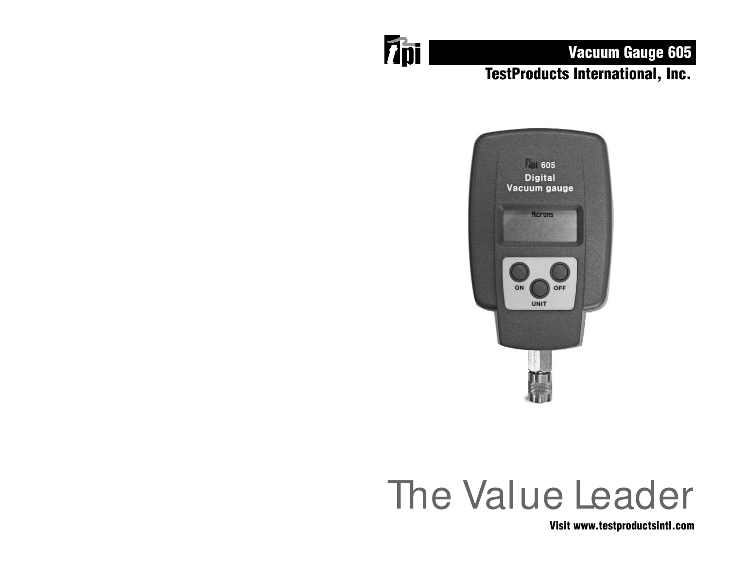

# Vacuum Gauge 605 TestProducts International, Inc.



# The Value Leader

Visit www.testproductsintl.com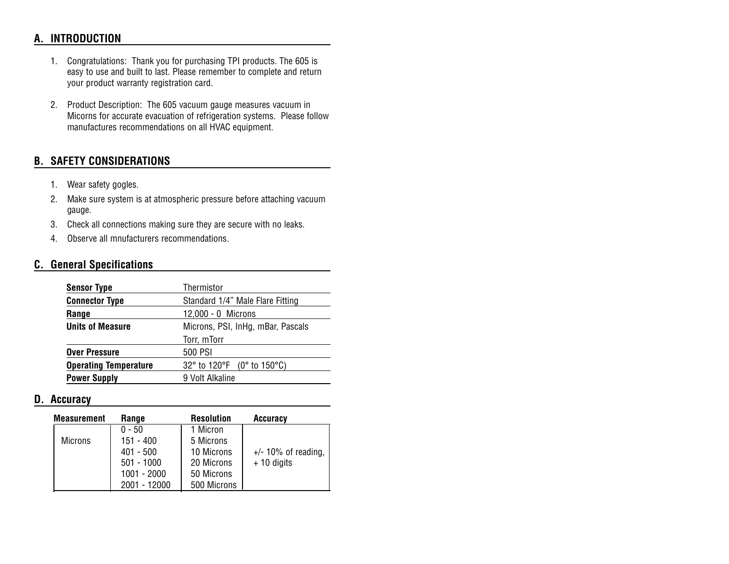# **A. INTRODUCTION**

- 1. Congratulations: Thank you for purchasing TPI products. The 605 is easy to use and built to last. Please remember to complete and return your product warranty registration card.
- 2. Product Description: The 605 vacuum gauge measures vacuum in Micorns for accurate evacuation of refrigeration systems. Please follow manufactures recommendations on all HVAC equipment.

# **B. SAFETY CONSIDERATIONS**

- 1. Wear safety gogles.
- 2. Make sure system is at atmospheric pressure before attaching vacuum gauge.
- 3. Check all connections making sure they are secure with no leaks.
- 4. Observe all mnufacturers recommendations.

## **C. General Specifications**

| <b>Sensor Type</b>           | Thermistor                                                           |  |
|------------------------------|----------------------------------------------------------------------|--|
| <b>Connector Type</b>        | Standard 1/4" Male Flare Fitting                                     |  |
| Range                        | 12,000 - 0 Microns                                                   |  |
| <b>Units of Measure</b>      | Microns, PSI, InHg, mBar, Pascals                                    |  |
|                              | Torr, mTorr                                                          |  |
| <b>Over Pressure</b>         | 500 PSI                                                              |  |
| <b>Operating Temperature</b> | 32 $^{\circ}$ to 120 $^{\circ}$ F (0 $^{\circ}$ to 150 $^{\circ}$ C) |  |
| <b>Power Supply</b>          | 9 Volt Alkaline                                                      |  |

#### **D. Accuracy**

| <b>Measurement</b> | Range        | <b>Resolution</b> | Accuracy               |
|--------------------|--------------|-------------------|------------------------|
|                    | $0 - 50$     | 1 Micron          |                        |
| <b>Microns</b>     | 151 - 400    | 5 Microns         |                        |
|                    | $401 - 500$  | 10 Microns        | $+/- 10\%$ of reading, |
|                    | $501 - 1000$ | 20 Microns        | $+10$ digits           |
|                    | 1001 - 2000  | 50 Microns        |                        |
|                    | 2001 - 12000 | 500 Microns       |                        |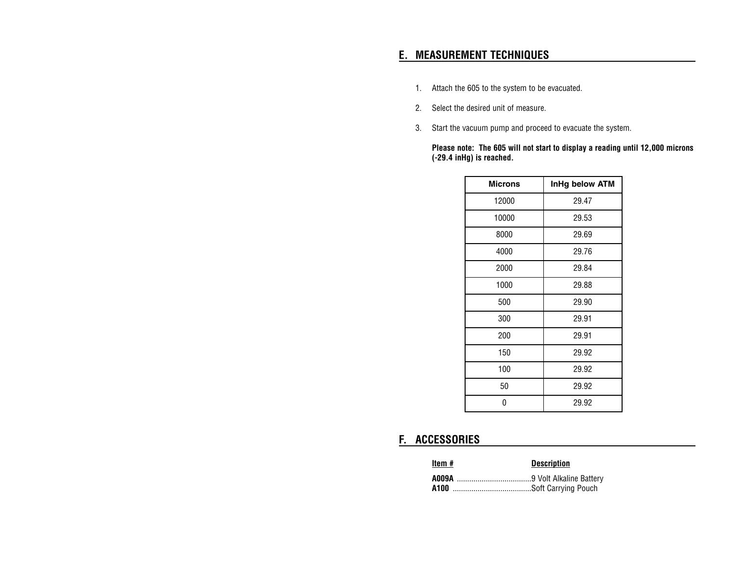# **E. MEASUREMENT TECHNIQUES**

- 1. Attach the 605 to the system to be evacuated.
- 2. Select the desired unit of measure.
- 3. Start the vacuum pump and proceed to evacuate the system.

**Please note: The 605 will not start to display a reading until 12,000 microns (-29.4 inHg) is reached.**

| <b>Microns</b> | InHg below ATM |
|----------------|----------------|
| 12000          | 29.47          |
| 10000          | 29.53          |
| 8000           | 29.69          |
| 4000           | 29.76          |
| 2000           | 29.84          |
| 1000           | 29.88          |
| 500            | 29.90          |
| 300            | 29.91          |
| 200            | 29.91          |
| 150            | 29.92          |
| 100            | 29.92          |
| 50             | 29.92          |
| N              | 29.92          |

# **F. ACCESSORIES**

#### **Item # Description**

| A100 |  |
|------|--|